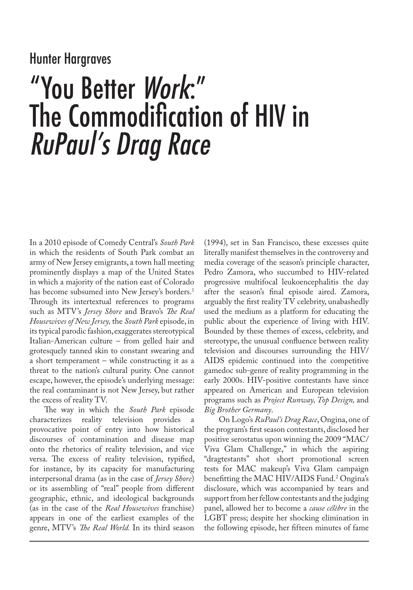## Hunter Hargraves

# "You Better Work:" The Commodification of HIV in RuPaul's Drag Race

In a 2010 episode of Comedy Central's *South Park* in which the residents of South Park combat an army of New Jersey emigrants, a town hall meeting prominently displays a map of the United States in which a majority of the nation east of Colorado has become subsumed into New Jersey's borders.<sup>1</sup> Through its intertextual references to programs such as MTV's *Jersey Shore* and Bravo's *The Real Housewives of New Jersey,* the *South Park* episode, in its typical parodic fashion, exaggerates stereotypical Italian-American culture – from gelled hair and grotesquely tanned skin to constant swearing and a short temperament – while constructing it as a threat to the nation's cultural purity. One cannot escape, however, the episode's underlying message: the real contaminant is not New Jersey, but rather the excess of reality TV.

The way in which the *South Park* episode characterizes reality television provides provocative point of entry into how historical discourses of contamination and disease map onto the rhetorics of reality television, and vice versa. The excess of reality television, typified, for instance, by its capacity for manufacturing interpersonal drama (as in the case of *Jersey Shore*) or its assembling of "real" people from different geographic, ethnic, and ideological backgrounds (as in the case of the *Real Housewives* franchise) appears in one of the earliest examples of the genre, MTV's *The Real World.* In its third season

(1994), set in San Francisco, these excesses quite literally manifest themselves in the controversy and media coverage of the season's principle character, Pedro Zamora, who succumbed to HIV-related progressive multifocal leukoencephalitis the day after the season's final episode aired. Zamora, arguably the first reality TV celebrity, unabashedly used the medium as a platform for educating the public about the experience of living with HIV. Bounded by these themes of excess, celebrity, and stereotype, the unusual confluence between reality television and discourses surrounding the HIV/ AIDS epidemic continued into the competitive gamedoc sub-genre of reality programming in the early 2000s. HIV-positive contestants have since appeared on American and European television programs such as *Project Runway, Top Design,* and *Big Brother Germany*.

On Logo's *RuPaul's Drag Race*, Ongina, one of the program's first season contestants, disclosed her positive serostatus upon winning the 2009 "MAC/ Viva Glam Challenge," in which the aspiring "dragtestants" shot short promotional screen tests for MAC makeup's Viva Glam campaign benefitting the MAC HIV/AIDS Fund.2 Ongina's disclosure, which was accompanied by tears and support from her fellow contestants and the judging panel, allowed her to become a *cause célèbre* in the LGBT press; despite her shocking elimination in the following episode, her fifteen minutes of fame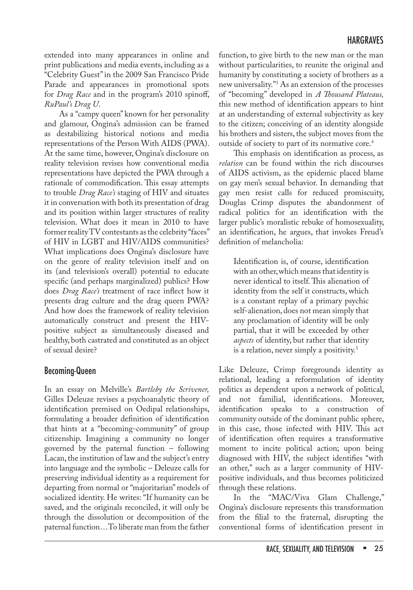### HARGRAVES

extended into many appearances in online and print publications and media events, including as a "Celebrity Guest" in the 2009 San Francisco Pride Parade and appearances in promotional spots for *Drag Race* and in the program's 2010 spinoff, *RuPaul's Drag U*.

As a "campy queen" known for her personality and glamour, Ongina's admission can be framed as destabilizing historical notions and media representations of the Person With AIDS (PWA). At the same time, however, Ongina's disclosure on reality television revises how conventional media representations have depicted the PWA through a rationale of commodification. This essay attempts to trouble *Drag Race's* staging of HIV and situates it in conversation with both its presentation of drag and its position within larger structures of reality television. What does it mean in 2010 to have former reality TV contestants as the celebrity "faces" of HIV in LGBT and HIV/AIDS communities? What implications does Ongina's disclosure have on the genre of reality television itself and on its (and television's overall) potential to educate specific (and perhaps marginalized) publics? How does *Drag Race's* treatment of race inflect how it presents drag culture and the drag queen PWA? And how does the framework of reality television automatically construct and present the HIVpositive subject as simultaneously diseased and healthy, both castrated and constituted as an object of sexual desire?

#### Becoming-Queen

In an essay on Melville's *Bartleby the Scrivener,*  Gilles Deleuze revises a psychoanalytic theory of identification premised on Oedipal relationships, formulating a broader definition of identification that hints at a "becoming-community" of group citizenship. Imagining a community no longer governed by the paternal function – following Lacan, the institution of law and the subject's entry into language and the symbolic – Deleuze calls for preserving individual identity as a requirement for departing from normal or "majoritarian" models of socialized identity. He writes: "If humanity can be saved, and the originals reconciled, it will only be through the dissolution or decomposition of the paternal function…To liberate man from the father

function, to give birth to the new man or the man without particularities, to reunite the original and humanity by constituting a society of brothers as a new universality."3 As an extension of the processes of "becoming" developed in *A Thousand Plateaus,*  this new method of identification appears to hint at an understanding of external subjectivity as key to the citizen; conceiving of an identity alongside his brothers and sisters, the subject moves from the outside of society to part of its normative core.<sup>4</sup>

This emphasis on identification as process, as *relation* can be found within the rich discourses of AIDS activism, as the epidemic placed blame on gay men's sexual behavior. In demanding that gay men resist calls for reduced promiscuity, Douglas Crimp disputes the abandonment of radical politics for an identification with the larger public's moralistic rebuke of homosexuality, an identification, he argues, that invokes Freud's definition of melancholia:

Identification is, of course, identification with an other, which means that identity is never identical to itself. This alienation of identity from the self it constructs, which is a constant replay of a primary psychic self-alienation, does not mean simply that any proclamation of identity will be only partial, that it will be exceeded by other *aspects* of identity, but rather that identity is a relation, never simply a positivity.<sup>5</sup>

Like Deleuze, Crimp foregrounds identity as relational, leading a reformulation of identity politics as dependent upon a network of political, and not familial, identifications. Moreover, identification speaks to a construction of community outside of the dominant public sphere, in this case, those infected with HIV. This act of identification often requires a transformative moment to incite political action; upon being diagnosed with HIV, the subject identifies "with an other," such as a larger community of HIVpositive individuals, and thus becomes politicized through these relations.

In the "MAC/Viva Glam Challenge," Ongina's disclosure represents this transformation from the filial to the fraternal, disrupting the conventional forms of identification present in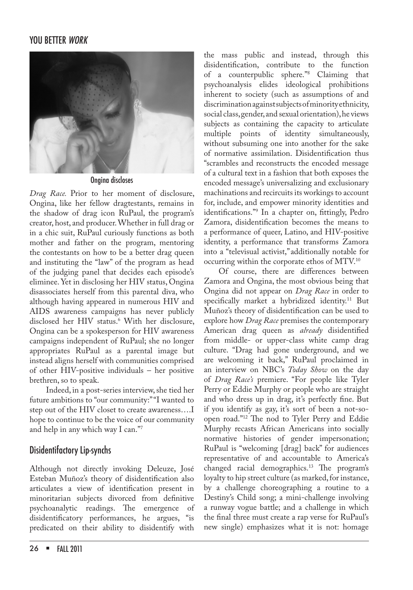

Ongina discloses

*Drag Race.* Prior to her moment of disclosure, Ongina, like her fellow dragtestants, remains in the shadow of drag icon RuPaul, the program's creator, host, and producer. Whether in full drag or in a chic suit, RuPaul curiously functions as both mother and father on the program, mentoring the contestants on how to be a better drag queen and instituting the "law" of the program as head of the judging panel that decides each episode's eliminee. Yet in disclosing her HIV status, Ongina disassociates herself from this parental diva, who although having appeared in numerous HIV and AIDS awareness campaigns has never publicly disclosed her HIV status.6 With her disclosure, Ongina can be a spokesperson for HIV awareness campaigns independent of RuPaul; she no longer appropriates RuPaul as a parental image but instead aligns herself with communities comprised of other HIV-positive individuals – her positive brethren, so to speak.

 Indeed, in a post-series interview, she tied her future ambitions to "our community:" "I wanted to step out of the HIV closet to create awareness….I hope to continue to be the voice of our community and help in any which way I can."7

#### Disidentifactory Lip-synchs

Although not directly invoking Deleuze, José Esteban Muñoz's theory of disidentification also articulates a view of identification present in minoritarian subjects divorced from definitive psychoanalytic readings. The emergence of disidentificatory performances, he argues, "is predicated on their ability to disidentify with

the mass public and instead, through this disidentification, contribute to the function of a counterpublic sphere."8 Claiming that psychoanalysis elides ideological prohibitions inherent to society (such as assumptions of and discrimination against subjects of minority ethnicity, social class, gender, and sexual orientation), he views subjects as containing the capacity to articulate multiple points of identity simultaneously, without subsuming one into another for the sake of normative assimilation. Disidentification thus "scrambles and reconstructs the encoded message of a cultural text in a fashion that both exposes the encoded message's universalizing and exclusionary machinations and recircuits its workings to account for, include, and empower minority identities and identifications."9 In a chapter on, fittingly, Pedro Zamora, disidentification becomes the means to a performance of queer, Latino, and HIV-positive identity, a performance that transforms Zamora into a "televisual activist,"additionally notable for occurring within the corporate ethos of MTV.10

Of course, there are differences between Zamora and Ongina, the most obvious being that Ongina did not appear on *Drag Race* in order to specifically market a hybridized identity.<sup>11</sup> But Muñoz's theory of disidentification can be used to explore how *Drag Race* premises the contemporary American drag queen as *already* disidentified from middle- or upper-class white camp drag culture. "Drag had gone underground, and we are welcoming it back," RuPaul proclaimed in an interview on NBC's *Today Show* on the day of *Drag Race's* premiere. "For people like Tyler Perry or Eddie Murphy or people who are straight and who dress up in drag, it's perfectly fine. But if you identify as gay, it's sort of been a not-soopen road."12 The nod to Tyler Perry and Eddie Murphy recasts African Americans into socially normative histories of gender impersonation; RuPaul is "welcoming [drag] back" for audiences representative of and accountable to America's changed racial demographics.13 The program's loyalty to hip street culture (as marked, for instance, by a challenge choreographing a routine to a Destiny's Child song; a mini-challenge involving a runway vogue battle; and a challenge in which the final three must create a rap verse for RuPaul's new single) emphasizes what it is not: homage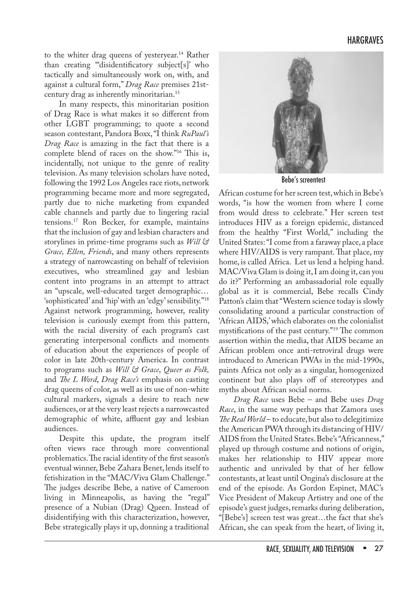to the whiter drag queens of yesteryear.<sup>14</sup> Rather than creating "'disidentificatory subject[s]' who tactically and simultaneously work on, with, and against a cultural form," *Drag Race* premises 21stcentury drag as inherently minoritarian.15

In many respects, this minoritarian position of Drag Race is what makes it so different from other LGBT programming; to quote a second season contestant, Pandora Boxx, "I think *RuPaul's Drag Race*  is amazing in the fact that there is a complete blend of races on the show."16 This is, incidentally, not unique to the genre of reality television. As many television scholars have noted, following the 1992 Los Angeles race riots, network programming became more and more segregated, partly due to niche marketing from expanded cable channels and partly due to lingering racial tensions.17 Ron Becker, for example, maintains that the inclusion of gay and lesbian characters and storylines in prime-time programs such as *Will & Grace, Ellen, Friends*, and many others represents a strategy of narrowcasting on behalf of television executives, who streamlined gay and lesbian content into programs in an attempt to attract an "upscale, well-educated target demographic… 'sophisticated' and 'hip' with an 'edgy' sensibility."18 Against network programming, however, reality television is curiously exempt from this pattern, with the racial diversity of each program's cast generating interpersonal conflicts and moments of education about the experiences of people of color in late 20th-century America. In contrast to programs such as *Will & Grace*, *Queer as Folk,*  and *The L Word*, *Drag Race's* emphasis on casting drag queens of color, as well as its use of non-white cultural markers, signals a desire to reach new audiences, or at the very least rejects a narrowcasted demographic of white, affluent gay and lesbian audiences.

Despite this update, the program itself often views race through more conventional problematics. The racial identity of the first season's eventual winner, Bebe Zahara Benet, lends itself to fetishization in the "MAC/Viva Glam Challenge." The judges describe Bebe, a native of Cameroon living in Minneapolis, as having the "regal" presence of a Nubian (Drag) Queen. Instead of disidentifying with this characterization, however, Bebe strategically plays it up, donning a traditional



Bebe's screentest

African costume for her screen test, which in Bebe's words, "is how the women from where I come from would dress to celebrate." Her screen test introduces HIV as a foreign epidemic, distanced from the healthy "First World," including the United States: "I come from a faraway place, a place where HIV/AIDS is very rampant. That place, my home, is called Africa. Let us lend a helping hand. MAC/Viva Glam is doing it, I am doing it, can you do it?" Performing an ambassadorial role equally global as it is commercial, Bebe recalls Cindy Patton's claim that "Western science today is slowly consolidating around a particular construction of 'African AIDS,' which elaborates on the colonialist mystifications of the past century."19 The common assertion within the media, that AIDS became an African problem once anti-retroviral drugs were introduced to American PWAs in the mid-1990s, paints Africa not only as a singular, homogenized continent but also plays off of stereotypes and myths about African social norms.

*Drag Race* uses Bebe – and Bebe uses *Drag Race*, in the same way perhaps that Zamora uses *The Real World* – to educate, but also to delegitimize the American PWA through its distancing of HIV/ AIDS from the United States. Bebe's "Africanness," played up through costume and notions of origin, makes her relationship to HIV appear more authentic and unrivaled by that of her fellow contestants, at least until Ongina's disclosure at the end of the episode. As Gordon Espinet, MAC's Vice President of Makeup Artistry and one of the episode's guest judges, remarks during deliberation, "[Bebe's] screen test was great…the fact that she's African, she can speak from the heart, of living it,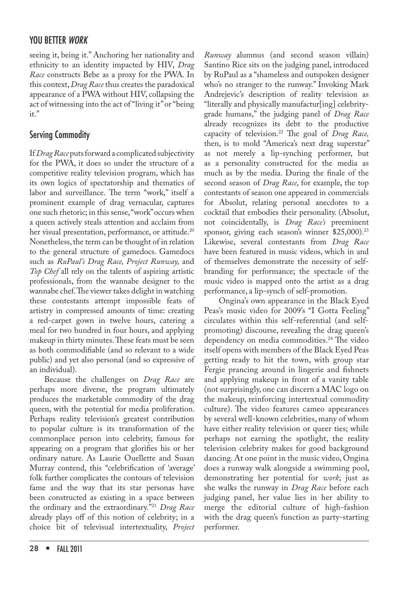seeing it, being it." Anchoring her nationality and ethnicity to an identity impacted by HIV, *Drag Race* constructs Bebe as a proxy for the PWA. In this context, *Drag Race* thus creates the paradoxical appearance of a PWA without HIV, collapsing the act of witnessing into the act of "living it" or "being it."

## Serving Commodity

If *Drag Race* puts forward a complicated subjectivity for the PWA, it does so under the structure of a competitive reality television program, which has its own logics of spectatorship and thematics of labor and surveillance. The term "work," itself a prominent example of drag vernacular, captures one such rhetoric; in this sense, "work" occurs when a queen actively steals attention and acclaim from her visual presentation, performance, or attitude.<sup>20</sup> Nonetheless, the term can be thought of in relation to the general structure of gamedocs. Gamedocs such as *RuPaul's Drag Race, Project Runway,* and *Top Chef* all rely on the talents of aspiring artistic professionals, from the wannabe designer to the wannabe chef. The viewer takes delight in watching these contestants attempt impossible feats of artistry in compressed amounts of time: creating a red-carpet gown in twelve hours, catering a meal for two hundred in four hours, and applying makeup in thirty minutes. These feats must be seen as both commodifiable (and so relevant to a wide public) and yet also personal (and so expressive of an individual).

Because the challenges on *Drag Race* are perhaps more diverse, the program ultimately produces the marketable commodity of the drag queen, with the potential for media proliferation. Perhaps reality television's greatest contribution to popular culture is its transformation of the commonplace person into celebrity, famous for appearing on a program that glorifies his or her ordinary nature. As Laurie Ouellette and Susan Murray contend, this "celebrification of 'average' folk further complicates the contours of television fame and the way that its star personas have been constructed as existing in a space between the ordinary and the extraordinary."21 *Drag Race* already plays off of this notion of celebrity; in a choice bit of televisual intertextuality, *Project*  *Runway* alumnus (and second season villain) Santino Rice sits on the judging panel, introduced by RuPaul as a "shameless and outspoken designer who's no stranger to the runway." Invoking Mark Andrejevic's description of reality television as "literally and physically manufactur[ing] celebritygrade humans," the judging panel of *Drag Race* already recognizes its debt to the productive capacity of television.22 The goal of *Drag Race,*  then, is to mold "America's next drag superstar" as not merely a lip-synching performer, but as a personality constructed for the media as much as by the media. During the finale of the second season of *Drag Race*, for example, the top contestants of season one appeared in commercials for Absolut, relating personal anecdotes to a cocktail that embodies their personality. (Absolut, not coincidentally, is *Drag Race's* preeminent sponsor, giving each season's winner \$25,000).<sup>23</sup> Likewise, several contestants from *Drag Race* have been featured in music videos, which in and of themselves demonstrate the necessity of selfbranding for performance; the spectacle of the music video is mapped onto the artist as a drag

performance, a lip-synch of self-promotion. Ongina's own appearance in the Black Eyed Peas's music video for 2009's "I Gotta Feeling" circulates within this self-referential (and selfpromoting) discourse, revealing the drag queen's dependency on media commodities.<sup>24</sup> The video itself opens with members of the Black Eyed Peas getting ready to hit the town, with group star Fergie prancing around in lingerie and fishnets and applying makeup in front of a vanity table (not surprisingly, one can discern a MAC logo on the makeup, reinforcing intertextual commodity culture). The video features cameo appearances by several well-known celebrities, many of whom have either reality television or queer ties; while perhaps not earning the spotlight, the reality television celebrity makes for good background dancing. At one point in the music video, Ongina does a runway walk alongside a swimming pool, demonstrating her potential for *work*; just as she walks the runway in *Drag Race* before each judging panel, her value lies in her ability to merge the editorial culture of high-fashion with the drag queen's function as party-starting performer.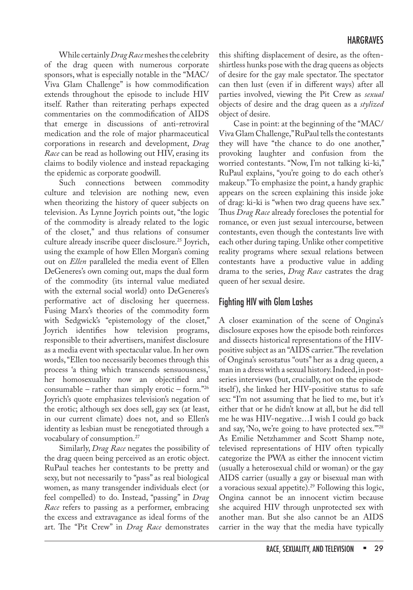While certainly *Drag Race* meshes the celebrity of the drag queen with numerous corporate sponsors, what is especially notable in the "MAC/ Viva Glam Challenge" is how commodification extends throughout the episode to include HIV itself. Rather than reiterating perhaps expected commentaries on the commodification of AIDS that emerge in discussions of anti-retroviral medication and the role of major pharmaceutical corporations in research and development, *Drag Race* can be read as hollowing out HIV, erasing its claims to bodily violence and instead repackaging the epidemic as corporate goodwill.

Such connections between commodity culture and television are nothing new, even when theorizing the history of queer subjects on television. As Lynne Joyrich points out, "the logic of the commodity is already related to the logic of the closet," and thus relations of consumer culture already inscribe queer disclosure.<sup>25</sup> Joyrich, using the example of how Ellen Morgan's coming out on *Ellen* paralleled the media event of Ellen DeGeneres's own coming out, maps the dual form of the commodity (its internal value mediated with the external social world) onto DeGeneres's performative act of disclosing her queerness. Fusing Marx's theories of the commodity form with Sedgwick's "epistemology of the closet," Joyrich identifies how television programs, responsible to their advertisers, manifest disclosure as a media event with spectacular value. In her own words, "Ellen too necessarily becomes through this process 'a thing which transcends sensuousness,' her homosexuality now an objectified and consumable – rather than simply erotic – form."26 Joyrich's quote emphasizes television's negation of the erotic; although sex does sell, gay sex (at least, in our current climate) does not, and so Ellen's identity as lesbian must be renegotiated through a vocabulary of consumption.27

Similarly, *Drag Race* negates the possibility of the drag queen being perceived as an erotic object. RuPaul teaches her contestants to be pretty and sexy, but not necessarily to "pass" as real biological women, as many transgender individuals elect (or feel compelled) to do. Instead, "passing" in *Drag Race* refers to passing as a performer, embracing the excess and extravagance as ideal forms of the art. The "Pit Crew" in *Drag Race* demonstrates

this shifting displacement of desire, as the oftenshirtless hunks pose with the drag queens as objects of desire for the gay male spectator. The spectator can then lust (even if in different ways) after all parties involved, viewing the Pit Crew as *sexual* objects of desire and the drag queen as a *stylized* object of desire.

Case in point: at the beginning of the "MAC/ Viva Glam Challenge," RuPaul tells the contestants they will have "the chance to do one another," provoking laughter and confusion from the worried contestants. "Now, I'm not talking ki-ki," RuPaul explains, "you're going to do each other's makeup." To emphasize the point, a handy graphic appears on the screen explaining this inside joke of drag: ki-ki is "when two drag queens have sex." Thus *Drag Race* already forecloses the potential for romance, or even just sexual intercourse, between contestants, even though the contestants live with each other during taping. Unlike other competitive reality programs where sexual relations between contestants have a productive value in adding drama to the series, *Drag Race* castrates the drag queen of her sexual desire.

## Fighting HIV with Glam Lashes

A closer examination of the scene of Ongina's disclosure exposes how the episode both reinforces and dissects historical representations of the HIVpositive subject as an "AIDS carrier." The revelation of Ongina's serostatus "outs" her as a drag queen, a man in a dress with a sexual history. Indeed, in postseries interviews (but, crucially, not on the episode itself ), she linked her HIV-positive status to safe sex: "I'm not assuming that he lied to me, but it's either that or he didn't know at all, but he did tell me he was HIV-negative…I wish I could go back and say, 'No, we're going to have protected sex.'"28 As Emilie Netzhammer and Scott Shamp note, televised representations of HIV often typically categorize the PWA as either the innocent victim (usually a heterosexual child or woman) or the gay AIDS carrier (usually a gay or bisexual man with a voracious sexual appetite).29 Following this logic, Ongina cannot be an innocent victim because she acquired HIV through unprotected sex with another man. But she also cannot be an AIDS carrier in the way that the media have typically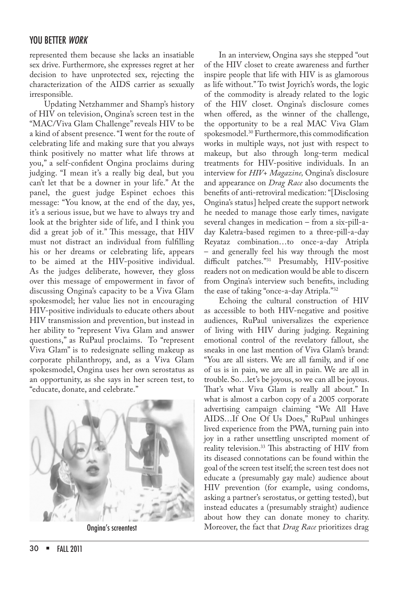represented them because she lacks an insatiable sex drive. Furthermore, she expresses regret at her decision to have unprotected sex, rejecting the characterization of the AIDS carrier as sexually irresponsible.

Updating Netzhammer and Shamp's history of HIV on television, Ongina's screen test in the "MAC/Viva Glam Challenge" reveals HIV to be a kind of absent presence. "I went for the route of celebrating life and making sure that you always think positively no matter what life throws at you," a self-confident Ongina proclaims during judging. "I mean it's a really big deal, but you can't let that be a downer in your life." At the panel, the guest judge Espinet echoes this message: "You know, at the end of the day, yes, it's a serious issue, but we have to always try and look at the brighter side of life, and I think you did a great job of it." This message, that HIV must not distract an individual from fulfilling his or her dreams or celebrating life, appears to be aimed at the HIV-positive individual. As the judges deliberate, however, they gloss over this message of empowerment in favor of discussing Ongina's capacity to be a Viva Glam spokesmodel; her value lies not in encouraging HIV-positive individuals to educate others about HIV transmission and prevention, but instead in her ability to "represent Viva Glam and answer questions," as RuPaul proclaims. To "represent Viva Glam" is to redesignate selling makeup as corporate philanthropy, and, as a Viva Glam spokesmodel, Ongina uses her own serostatus as an opportunity, as she says in her screen test, to "educate, donate, and celebrate."



In an interview, Ongina says she stepped "out of the HIV closet to create awareness and further inspire people that life with HIV is as glamorous as life without." To twist Joyrich's words, the logic of the commodity is already related to the logic of the HIV closet. Ongina's disclosure comes when offered, as the winner of the challenge, the opportunity to be a real MAC Viva Glam spokesmodel.30 Furthermore, this commodification works in multiple ways, not just with respect to makeup, but also through long-term medical treatments for HIV-positive individuals. In an interview for *HIV+ Magazine,* Ongina's disclosure and appearance on *Drag Race* also documents the benefits of anti-retroviral medication: "[Disclosing Ongina's status] helped create the support network he needed to manage those early times, navigate several changes in medication – from a six-pill-aday Kaletra-based regimen to a three-pill-a-day Reyataz combination…to once-a-day Atripla – and generally feel his way through the most difficult patches."31 Presumably, HIV-positive readers not on medication would be able to discern from Ongina's interview such benefits, including the ease of taking "once-a-day Atripla."32

Echoing the cultural construction of HIV as accessible to both HIV-negative and positive audiences, RuPaul universalizes the experience of living with HIV during judging. Regaining emotional control of the revelatory fallout, she sneaks in one last mention of Viva Glam's brand: "You are all sisters. We are all family, and if one of us is in pain, we are all in pain. We are all in trouble. So…let's be joyous, so we can all be joyous. That's what Viva Glam is really all about." In what is almost a carbon copy of a 2005 corporate advertising campaign claiming "We All Have AIDS…If One Of Us Does," RuPaul unhinges lived experience from the PWA, turning pain into joy in a rather unsettling unscripted moment of reality television.33 This abstracting of HIV from its diseased connotations can be found within the goal of the screen test itself; the screen test does not educate a (presumably gay male) audience about HIV prevention (for example, using condoms, asking a partner's serostatus, or getting tested), but instead educates a (presumably straight) audience about how they can donate money to charity. **Ongina's screentest** Moreover, the fact that *Drag Race* prioritizes drag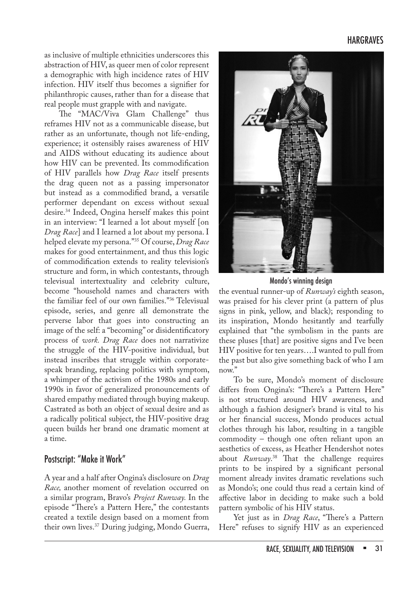#### HARGRAVES

as inclusive of multiple ethnicities underscores this abstraction of HIV, as queer men of color represent a demographic with high incidence rates of HIV infection. HIV itself thus becomes a signifier for philanthropic causes, rather than for a disease that real people must grapple with and navigate.

The "MAC/Viva Glam Challenge" thus reframes HIV not as a communicable disease, but rather as an unfortunate, though not life-ending, experience; it ostensibly raises awareness of HIV and AIDS without educating its audience about how HIV can be prevented. Its commodification of HIV parallels how *Drag Race* itself presents the drag queen not as a passing impersonator but instead as a commodified brand, a versatile performer dependant on excess without sexual desire.34 Indeed, Ongina herself makes this point in an interview: "I learned a lot about myself [on *Drag Race*] and I learned a lot about my persona. I helped elevate my persona."35 Of course, *Drag Race* makes for good entertainment, and thus this logic of commodification extends to reality television's structure and form, in which contestants, through televisual intertextuality and celebrity culture, become "household names and characters with the familiar feel of our own families."36 Televisual episode, series, and genre all demonstrate the perverse labor that goes into constructing an image of the self: a "becoming" or disidentificatory process of *work. Drag Race* does not narrativize the struggle of the HIV-positive individual, but instead inscribes that struggle within corporatespeak branding, replacing politics with symptom, a whimper of the activism of the 1980s and early 1990s in favor of generalized pronouncements of shared empathy mediated through buying makeup. Castrated as both an object of sexual desire and as a radically political subject, the HIV-positive drag queen builds her brand one dramatic moment at a time.

#### Postscript: "Make it Work"

A year and a half after Ongina's disclosure on *Drag Race,* another moment of revelation occurred on a similar program, Bravo's *Project Runway.* In the episode "There's a Pattern Here," the contestants created a textile design based on a moment from their own lives.37 During judging, Mondo Guerra,



Mondo's winning design

the eventual runner-up of *Runway's* eighth season, was praised for his clever print (a pattern of plus signs in pink, yellow, and black); responding to its inspiration, Mondo hesitantly and tearfully explained that "the symbolism in the pants are these pluses [that] are positive signs and I've been HIV positive for ten years….I wanted to pull from the past but also give something back of who I am now."

To be sure, Mondo's moment of disclosure differs from Ongina's: "There's a Pattern Here" is not structured around HIV awareness, and although a fashion designer's brand is vital to his or her financial success, Mondo produces actual clothes through his labor, resulting in a tangible commodity – though one often reliant upon an aesthetics of excess, as Heather Hendershot notes about *Runway*. 38 That the challenge requires prints to be inspired by a significant personal moment already invites dramatic revelations such as Mondo's; one could thus read a certain kind of affective labor in deciding to make such a bold pattern symbolic of his HIV status.

Yet just as in *Drag Race*, "There's a Pattern Here" refuses to signify HIV as an experienced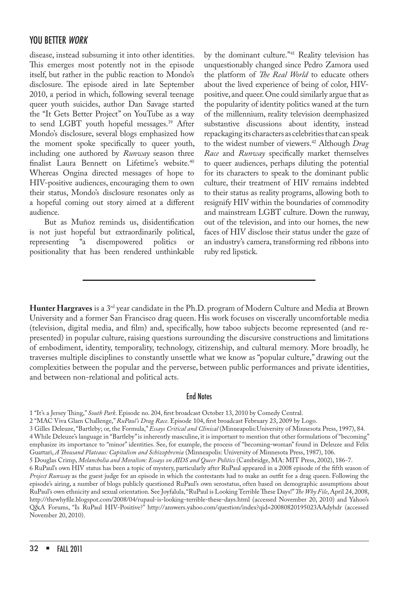disease, instead subsuming it into other identities. This emerges most potently not in the episode itself, but rather in the public reaction to Mondo's disclosure. The episode aired in late September 2010, a period in which, following several teenage queer youth suicides, author Dan Savage started the "It Gets Better Project" on YouTube as a way to send LGBT youth hopeful messages.<sup>39</sup> After Mondo's disclosure, several blogs emphasized how the moment spoke specifically to queer youth, including one authored by *Runway* season three finalist Laura Bennett on Lifetime's website.<sup>40</sup> Whereas Ongina directed messages of hope to HIV-positive audiences, encouraging them to own their status, Mondo's disclosure resonates only as a hopeful coming out story aimed at a different audience.

But as Muñoz reminds us, disidentification is not just hopeful but extraordinarily political, representing "a disempowered politics or positionality that has been rendered unthinkable

by the dominant culture."41 Reality television has unquestionably changed since Pedro Zamora used the platform of *The Real World* to educate others about the lived experience of being of color, HIVpositive, and queer. One could similarly argue that as the popularity of identity politics waned at the turn of the millennium, reality television deemphasized substantive discussions about identity, instead repackaging its characters as celebrities that can speak to the widest number of viewers.42 Although *Drag Race* and *Runway* specifically market themselves to queer audiences, perhaps diluting the potential for its characters to speak to the dominant public culture, their treatment of HIV remains indebted to their status as reality programs, allowing both to resignify HIV within the boundaries of commodity and mainstream LGBT culture. Down the runway, out of the television, and into our homes, the new faces of HIV disclose their status under the gaze of an industry's camera, transforming red ribbons into ruby red lipstick.

**Hunter Hargraves** is a 3rd year candidate in the Ph.D. program of Modern Culture and Media at Brown University and a former San Francisco drag queen. His work focuses on viscerally uncomfortable media (television, digital media, and film) and, specifically, how taboo subjects become represented (and represented) in popular culture, raising questions surrounding the discursive constructions and limitations of embodiment, identity, temporality, technology, citizenship, and cultural memory. More broadly, he traverses multiple disciplines to constantly unsettle what we know as "popular culture," drawing out the complexities between the popular and the perverse, between public performances and private identities, and between non-relational and political acts.

#### End Notes

1 "It's a Jersey Thing," *South Park*. Episode no. 204, first broadcast October 13, 2010 by Comedy Central.

2 "MAC Viva Glam Challenge," *RuPaul's Drag Race*. Episode 104, first broadcast February 23, 2009 by Logo.

3 Gilles Deleuze, "Bartleby; or, the Formula," *Essays Critical and Clinical* (Minneapolis:University of Minnesota Press, 1997), 84. 4 While Deleuze's language in "Bartleby" is inherently masculine, it is important to mention that other formulations of "becoming" emphasize its importance to "minor" identities. See, for example, the process of "becoming-woman" found in Deleuze and Felix Guattari, *A Thousand Plateaus: Capitalism and Schizophrenia* (Minneapolis: University of Minnesota Press, 1987), 106.

5 Douglas Crimp, *Melancholia and Moralism: Essays on AIDS and Queer Politics* (Cambridge, MA: MIT Press, 2002), 186-7.

6 RuPaul's own HIV status has been a topic of mystery, particularly after RuPaul appeared in a 2008 episode of the fifth season of *Project Runway* as the guest judge for an episode in which the contestants had to make an outfit for a drag queen. Following the episode's airing, a number of blogs publicly questioned RuPaul's own serostatus, often based on demographic assumptions about RuPaul's own ethnicity and sexual orientation. See Joyfalula, "RuPaul is Looking Terrible These Days!" *The Why File*, April 24, 2008, http://thewhyfile.blogspot.com/2008/04/rupaul-is-looking-terrible-these-days.html (accessed November 20, 2010) and Yahoo's Q&A Forums, "Is RuPaul HIV-Positive?" http://answers.yahoo.com/question/index?qid=20080820195023AAdyhdr (accessed November 20, 2010).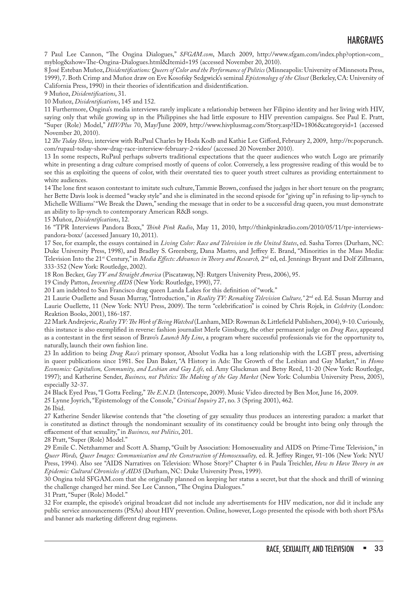7 Paul Lee Cannon, "The Ongina Dialogues," *SFGAM.com*, March 2009, http://www.sfgam.com/index.php?option=com\_ myblog&show=The-Ongina-Dialogues.html&Itemid=195 (accessed November 20, 2010).

8 José Esteban Muñoz, *Disidentifications: Queers of Color and the Performance of Politics* (Minneapolis: University of Minnesota Press, 1999), 7. Both Crimp and Muñoz draw on Eve Kosofsky Sedgwick's seminal *Epistemology of the Closet* (Berkeley, CA: University of California Press, 1990) in their theories of identification and disidentification.

9 Muñoz, *Disidentifications*, 31.

10 Muñoz, *Disidentifications*, 145 and 152.

11 Furthermore, Ongina's media interviews rarely implicate a relationship between her Filipino identity and her living with HIV, saying only that while growing up in the Philippines she had little exposure to HIV prevention campaigns. See Paul E. Pratt, "Super (Role) Model," *HIV/Plus* 70, May/June 2009, http://www.hivplusmag.com/Story.asp?ID=1806&categoryid=1 (accessed November 20, 2010).

12 *The Today Show,* interview with RuPaul Charles by Hoda Kodb and Kathie Lee Gifford, February 2, 2009, http://tv.popcrunch. com/rupaul-today-show-drag-race-interview-february-2-video/ (accessed 20 November 2010).

13 In some respects, RuPaul perhaps subverts traditional expectations that the queer audiences who watch Logo are primarily white in presenting a drag culture comprised mostly of queens of color. Conversely, a less progressive reading of this would be to see this as exploiting the queens of color, with their overstated ties to queer youth street cultures as providing entertainment to white audiences.

14 The lone first season contestant to imitate such culture, Tammie Brown, confused the judges in her short tenure on the program; her Bette Davis look is deemed "wacky style" and she is eliminated in the second episode for "giving up" in refusing to lip-synch to Michelle Williams' "We Break the Dawn," sending the message that in order to be a successful drag queen, you must demonstrate an ability to lip-synch to contemporary American R&B songs.

15 Muñoz, *Disidentifications*, 12.

16 "TPR Interviews Pandora Boxx," *Think Pink Radio*, May 11, 2010, http://thinkpinkradio.com/2010/05/11/tpr-interviewspandora-boxx/ (accessed January 10, 2011).

17 See, for example, the essays contained in *Living Color: Race and Television in the United States*, ed. Sasha Torres (Durham, NC: Duke University Press, 1998), and Bradley S. Greenberg, Dana Mastro, and Jeffrey E. Brand, "Minorities in the Mass Media: Television Into the 21<sup>st</sup> Century," in *Media Effects: Advances in Theory and Research*, 2<sup>nd</sup> ed, ed. Jennings Bryant and Dolf Zillmann, 333-352 (New York: Routledge, 2002).

18 Ron Becker, *Gay TV and Straight America* (Piscataway, NJ: Rutgers University Press, 2006), 95.

19 Cindy Patton, *Inventing AIDS* (New York: Routledge, 1990), 77.

20 I am indebted to San Francisco drag queen Landa Lakes for this definition of "work."

21 Laurie Ouellette and Susan Murray, "Introduction," in *Reality TV: Remaking Television Culture*," 2<sup>nd</sup> ed. Ed. Susan Murray and Laurie Ouellette, 11 (New York: NYU Press, 2009). The term "celebrification" is coined by Chris Rojek, in *Celebrity* (London: Reaktion Books, 2001), 186-187.

22 Mark Andrejevic, *Reality TV: The Work of Being Watched* (Lanham, MD: Rowman & Littlefield Publishers, 2004), 9-10. Curiously, this instance is also exemplified in reverse: fashion journalist Merle Ginsburg, the other permanent judge on *Drag Race*, appeared as a contestant in the first season of Bravo's *Launch My Line*, a program where successful professionals vie for the opportunity to, naturally, launch their own fashion line.

23 In addition to being *Drag Race's* primary sponsor, Absolut Vodka has a long relationship with the LGBT press, advertising in queer publications since 1981. See Dan Baker, "A History in Ads: The Growth of the Lesbian and Gay Market," in *Homo Economics: Capitalism, Community, and Lesbian and Gay Life,* ed. Amy Gluckman and Betsy Reed, 11-20 (New York: Routledge, 1997); and Katherine Sender, *Business, not Politics: The Making of the Gay Market* (New York: Columbia University Press, 2005), especially 32-37.

24 Black Eyed Peas, "I Gotta Feeling," *The E.N.D.* (Interscope, 2009). Music Video directed by Ben Mor, June 16, 2009.

25 Lynne Joyrich, "Epistemology of the Console," *Critical Inquiry* 27, no. 3 (Spring 2001), 462.

26 Ibid.

27 Katherine Sender likewise contends that "the closeting of gay sexuality thus produces an interesting paradox: a market that is constituted as distinct through the nondominant sexuality of its constituency could be brought into being only through the effacement of that sexuality," in *Business, not Politics*, 201.

28 Pratt, "Super (Role) Model."

29 Emile C. Netzhammer and Scott A. Shamp, "Guilt by Association: Homosexuality and AIDS on Prime-Time Television," in *Queer Words, Queer Images: Communication and the Construction of Homosexuality,* ed. R. Jeffrey Ringer, 91-106 (New York: NYU Press, 1994). Also see "AIDS Narratives on Television: Whose Story?" Chapter 6 in Paula Treichler, *How to Have Theory in an Epidemic: Cultural Chronicles of AIDS* (Durham, NC: Duke University Press, 1999).

30 Ongina told SFGAM.com that she originally planned on keeping her status a secret, but that the shock and thrill of winning the challenge changed her mind. See Lee Cannon, "The Ongina Dialogues."

31 Pratt, "Super (Role) Model."

32 For example, the episode's original broadcast did not include any advertisements for HIV medication, nor did it include any public service announcements (PSAs) about HIV prevention. Online, however, Logo presented the episode with both short PSAs and banner ads marketing different drug regimens.